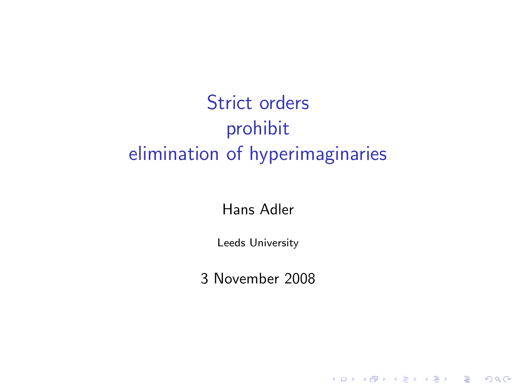# Strict orders prohibit elimination of hyperimaginaries

#### Hans Adler

Leeds University

3 November 2008

K ロ K K (P) K (E) K (E) X (E) X (P) K (P)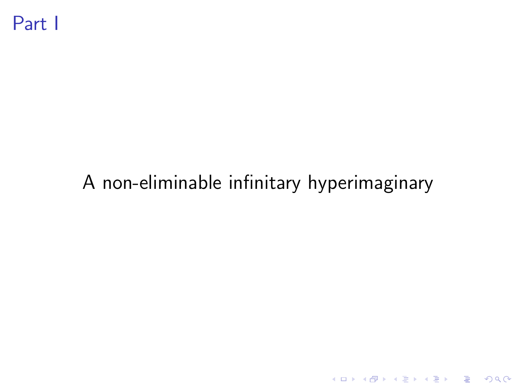# A non-eliminable infinitary hyperimaginary

K ロ ▶ K @ ▶ K 할 ▶ K 할 ▶ | 할 | 2000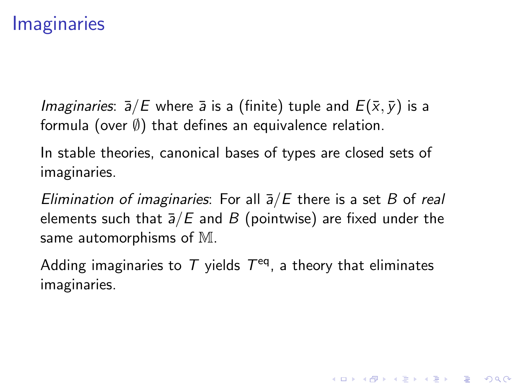## **Imaginaries**

*Imaginaries:*  $\bar{a}/E$  where  $\bar{a}$  is a (finite) tuple and  $E(\bar{x}, \bar{y})$  is a formula (over  $\emptyset$ ) that defines an equivalence relation.

In stable theories, canonical bases of types are closed sets of imaginaries.

Elimination of imaginaries: For all  $\overline{a}/E$  there is a set B of real elements such that  $\overline{a}/E$  and B (pointwise) are fixed under the same automorphisms of M.

Adding imaginaries to  $T$  yields  $T<sup>eq</sup>$ , a theory that eliminates imaginaries.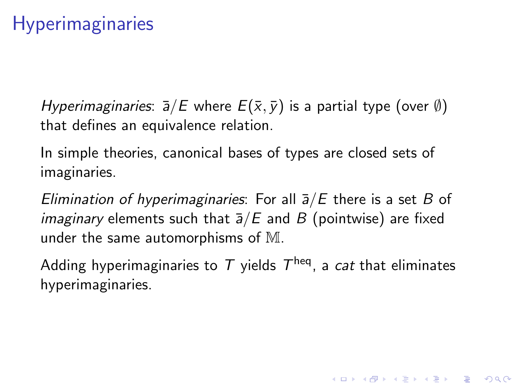Hyperimaginaries:  $\bar{a}/E$  where  $E(\bar{x}, \bar{y})$  is a partial type (over  $\emptyset$ ) that defines an equivalence relation.

In simple theories, canonical bases of types are closed sets of imaginaries.

Elimination of hyperimaginaries: For all  $\bar{a}/E$  there is a set B of *imaginary* elements such that  $\overline{a}/E$  and B (pointwise) are fixed under the same automorphisms of M.

Adding hyperimaginaries to  $\, \mathcal{T} \,$  yields  $\, \mathcal{T}^{\mathsf{heq}} \,$ , a  $\, cat$  that eliminates hyperimaginaries.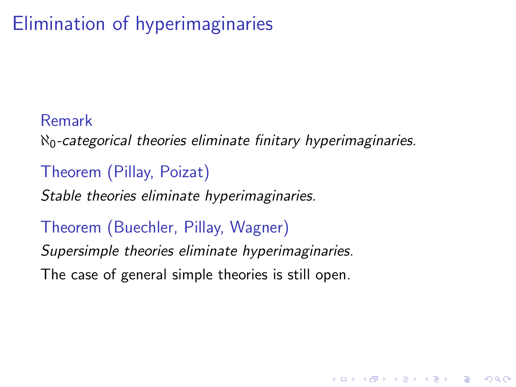# Elimination of hyperimaginaries

### Remark

 $\aleph_0$ -categorical theories eliminate finitary hyperimaginaries.

**KORK ERKER ADE YOUR** 

### Theorem (Pillay, Poizat)

Stable theories eliminate hyperimaginaries.

### Theorem (Buechler, Pillay, Wagner)

Supersimple theories eliminate hyperimaginaries.

The case of general simple theories is still open.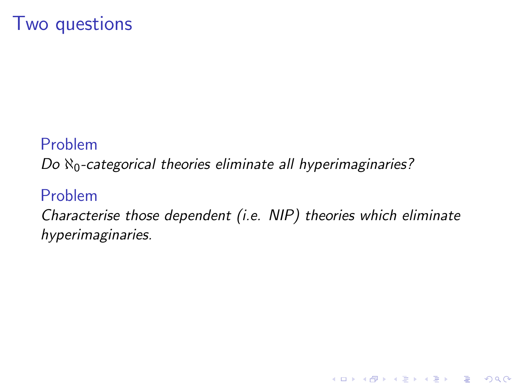## Two questions

#### Problem

Do  $\aleph_0$ -categorical theories eliminate all hyperimaginaries?

#### Problem

Characterise those dependent (i.e. NIP) theories which eliminate hyperimaginaries.

K ロ ▶ K @ ▶ K 할 > K 할 > 1 할 > 1 이익어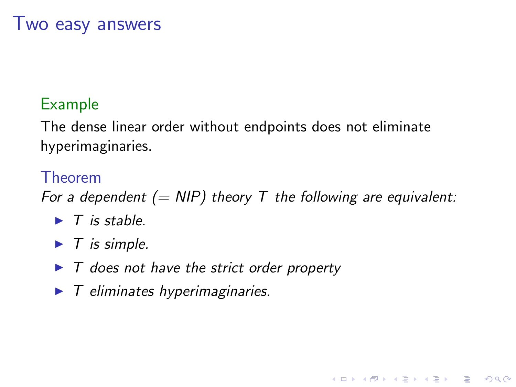## Two easy answers

### Example

The dense linear order without endpoints does not eliminate hyperimaginaries.

#### Theorem

For a dependent (= NIP) theory T the following are equivalent:

**KORK ERKER ADE YOUR** 

- $\blacktriangleright$  T is stable.
- $\blacktriangleright$  T is simple.
- $\blacktriangleright$  T does not have the strict order property
- $\blacktriangleright$  T eliminates hyperimaginaries.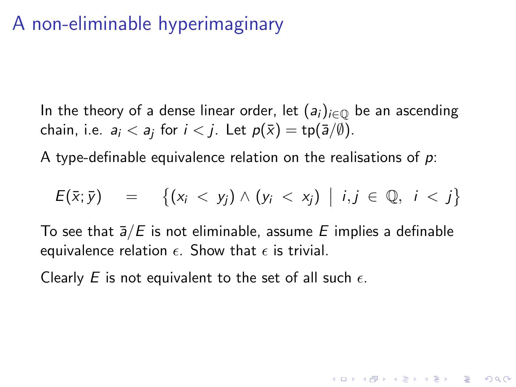## A non-eliminable hyperimaginary

In the theory of a dense linear order, let  $(a_i)_{i\in\mathbb{Q}}$  be an ascending chain, i.e.  $a_i < a_j$  for  $i < j$ . Let  $p(\bar{x}) = \text{tp}(\bar{a}/\emptyset)$ .

A type-definable equivalence relation on the realisations of  $p$ .

$$
E(\bar{x};\bar{y}) = \left\{ (x_i < y_j) \wedge (y_i < x_j) \middle| i,j \in \mathbb{Q}, i < j \right\}
$$

To see that  $\overline{a}/E$  is not eliminable, assume E implies a definable equivalence relation  $\epsilon$ . Show that  $\epsilon$  is trivial.

Clearly E is not equivalent to the set of all such  $\epsilon$ .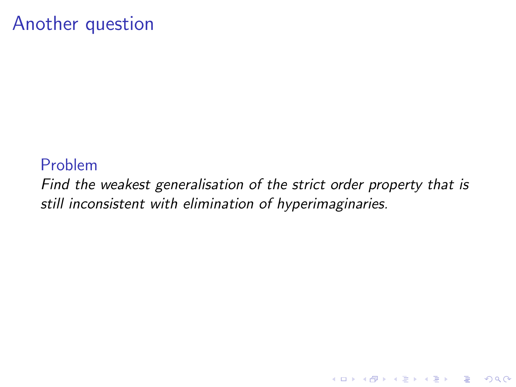### Another question

#### Problem

Find the weakest generalisation of the strict order property that is still inconsistent with elimination of hyperimaginaries.

K ロ ▶ K @ ▶ K 할 > K 할 > 1 할 > 1 이익어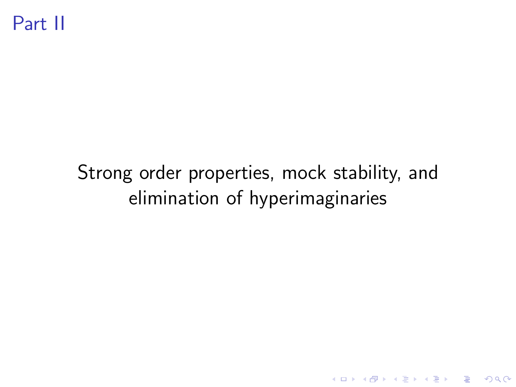# Strong order properties, mock stability, and elimination of hyperimaginaries

K ロ ▶ K @ ▶ K 할 ▶ K 할 ▶ | 할 | © 9 Q @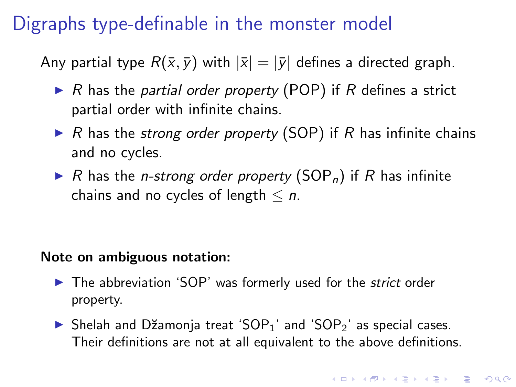# Digraphs type-definable in the monster model

Any partial type  $R(\bar{x}, \bar{y})$  with  $|\bar{x}| = |\bar{y}|$  defines a directed graph.

- $\triangleright$  R has the partial order property (POP) if R defines a strict partial order with infinite chains.
- $\triangleright$  R has the strong order property (SOP) if R has infinite chains and no cycles.
- $\triangleright$  R has the *n*-strong order property (SOP<sub>n</sub>) if R has infinite chains and no cycles of length  $\leq n$ .

#### Note on ambiguous notation:

- $\blacktriangleright$  The abbreviation 'SOP' was formerly used for the *strict* order property.
- $\triangleright$  Shelah and Džamonja treat 'SOP<sub>1</sub>' and 'SOP<sub>2</sub>' as special cases. Their definitions are not at all equivalent to the above definitions.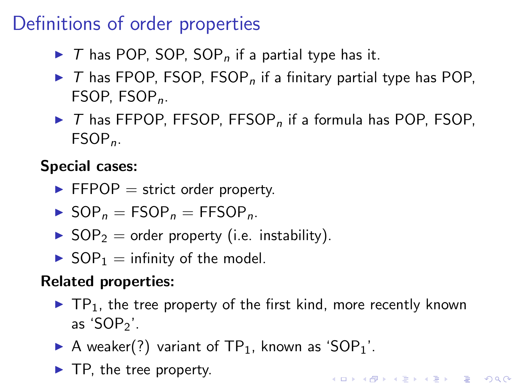## Definitions of order properties

- $\triangleright$  T has POP, SOP, SOP<sub>n</sub> if a partial type has it.
- $\triangleright$  T has FPOP, FSOP, FSOP<sub>n</sub> if a finitary partial type has POP, FSOP, FSOP<sub>n</sub>.
- $\triangleright$  T has FFPOP, FFSOP, FFSOP<sub>n</sub> if a formula has POP. FSOP.  $FSOP<sub>n</sub>$ .

Special cases:

- $\blacktriangleright$  FFPOP = strict order property.
- $\triangleright$  SOP<sub>n</sub> = FSOP<sub>n</sub> = FFSOP<sub>n</sub>.
- $\triangleright$  SOP<sub>2</sub> = order property (i.e. instability).
- $\triangleright$  SOP<sub>1</sub> = infinity of the model.

#### Related properties:

 $\blacktriangleright$  TP<sub>1</sub>, the tree property of the first kind, more recently known as 'SOP $<sub>2</sub>$ '.</sub>

- A weaker(?) variant of  $TP_1$ , known as 'SOP<sub>1</sub>'.
- $\blacktriangleright$  TP, the tree property.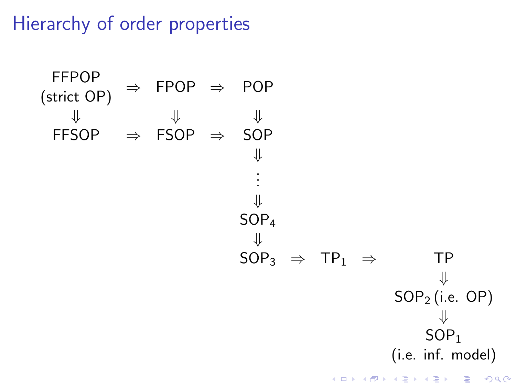Hierarchy of order properties

FFPOP

\n
$$
\begin{array}{ccc}\n\text{(strict OP)} & \Rightarrow & \text{FPOP} \\
\Downarrow & \Downarrow & \Downarrow \\
\text{FFSOP} & \Rightarrow & \text{SOP} \\
& & \Downarrow \\
\downarrow & & \text{SOP}_4 \\
& & \Downarrow \\
& & \text{SOP}_3 \Rightarrow \text{TP}_1 \Rightarrow \text{TP} \\
& & \downarrow \\
& & \text{SOP}_2 \text{(i.e. OP)} \\
& & \Downarrow \\
& & \text{SOP}_1 \\
& & \text{(i.e. inf. model)} \\
& & & \text{SOP}_1\n\end{array}
$$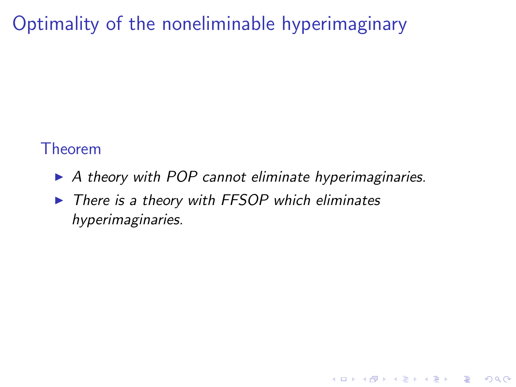Optimality of the noneliminable hyperimaginary

#### Theorem

 $\triangleright$  A theory with POP cannot eliminate hyperimaginaries.

**KORKA SERKER ORA** 

 $\triangleright$  There is a theory with FFSOP which eliminates hyperimaginaries.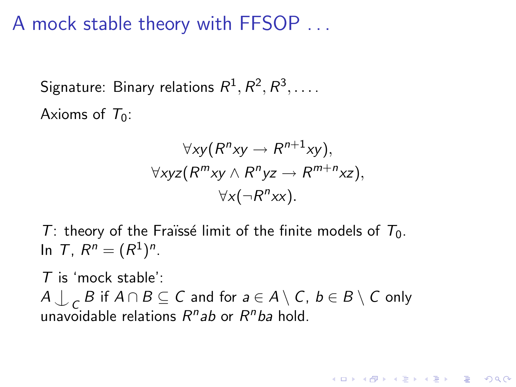A mock stable theory with FFSOP . . .

Signature: Binary relations  $R^1,R^2,R^3,\ldots$  . Axioms of  $T_0$ :

$$
\forall xy (R^n xy \rightarrow R^{n+1} xy),
$$
  
\n
$$
\forall xyz (R^m xy \land R^n yz \rightarrow R^{m+n} xz),
$$
  
\n
$$
\forall x (\neg R^n xx).
$$

4 D > 4 P + 4 B + 4 B + B + 9 Q O

T: theory of the Fraïssé limit of the finite models of  $T_0$ . In T,  $R^n = (R^1)^n$ .

 $T$  is 'mock stable':  $A \bigcup_{C} B$  if  $A \cap B \subseteq C$  and for  $a \in A \setminus C$ ,  $b \in B \setminus C$  only unavoidable relations R<sup>n</sup>ab or R<sup>n</sup>ba hold.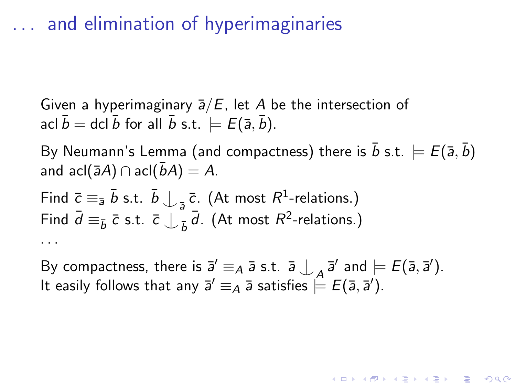## . . . and elimination of hyperimaginaries

Given a hyperimaginary  $\bar{a}/E$ , let A be the intersection of acl  $\bar{b} =$  dcl  $\bar{b}$  for all  $\bar{b}$  s.t.  $\models E(\bar{a}, \bar{b})$ .

By Neumann's Lemma (and compactness) there is  $\bar{b}$  s.t.  $\models E(\bar{a}, \bar{b})$ and acl( $\bar{a}A$ ) ∩ acl( $\bar{b}A$ ) = A.

Find  $\bar{c} \equiv_{\bar{a}} \bar{b}$  s.t.  $\bar{b} \bigcup_{\bar{a}} \bar{c}$ . (At most  $R^1$ -relations.) Find  $\bar{d} \equiv_{\bar{b}} \bar{c}$  s.t.  $\bar{c} \int_{-\bar{b}}^{\infty} \bar{d}$ . (At most  $R^2$ -relations.) . . .

By compactness, there is  $\overline{a}' \equiv_A \overline{a}$  s.t.  $\overline{a} \bigcup_A \overline{a}'$  and  $\models E(\overline{a}, \overline{a}')$ . It easily follows that any  $\bar{\sf a}'\equiv_A \bar{\sf a}$  satisfies  $\stackrel{\leftharpoonup}{=} E(\bar{\sf a},\bar{\sf a}')$ .

**KORKAR KERKER EL VOLO**